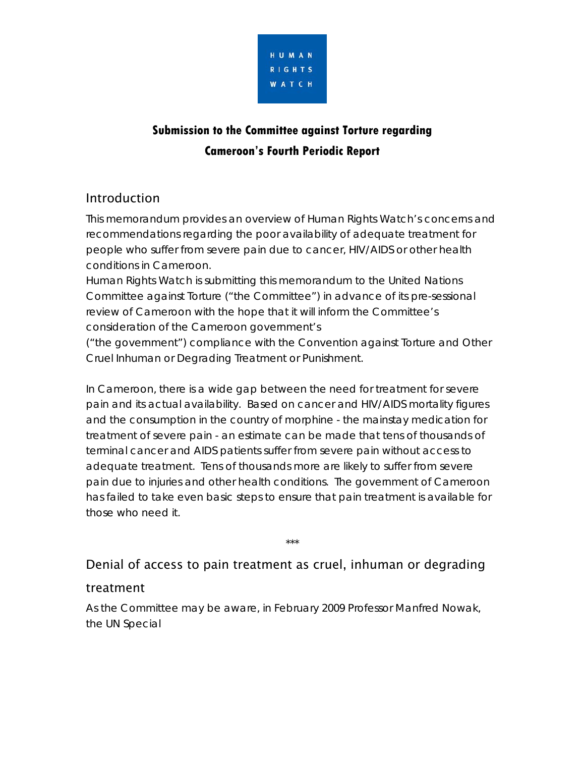

# **Submission to the Committee against Torture regarding Cameroon's Fourth Periodic Report**

### Introduction

This memorandum provides an overview of Human Rights Watch's concerns and recommendations regarding the poor availability of adequate treatment for people who suffer from severe pain due to cancer, HIV/AIDS or other health conditions in Cameroon.

Human Rights Watch is submitting this memorandum to the United Nations Committee against Torture ("the Committee") in advance of its pre-sessional review of Cameroon with the hope that it will inform the Committee's consideration of the Cameroon government's

("the government") compliance with the Convention against Torture and Other Cruel Inhuman or Degrading Treatment or Punishment.

In Cameroon, there is a wide gap between the need for treatment for severe pain and its actual availability. Based on cancer and HIV/AIDS mortality figures and the consumption in the country of morphine - the mainstay medication for treatment of severe pain - an estimate can be made that tens of thousands of terminal cancer and AIDS patients suffer from severe pain without access to adequate treatment. Tens of thousands more are likely to suffer from severe pain due to injuries and other health conditions. The government of Cameroon has failed to take even basic steps to ensure that pain treatment is available for those who need it.

## Denial of access to pain treatment as cruel, inhuman or degrading

\*\*\*

### treatment

As the Committee may be aware, in February 2009 Professor Manfred Nowak, the UN Special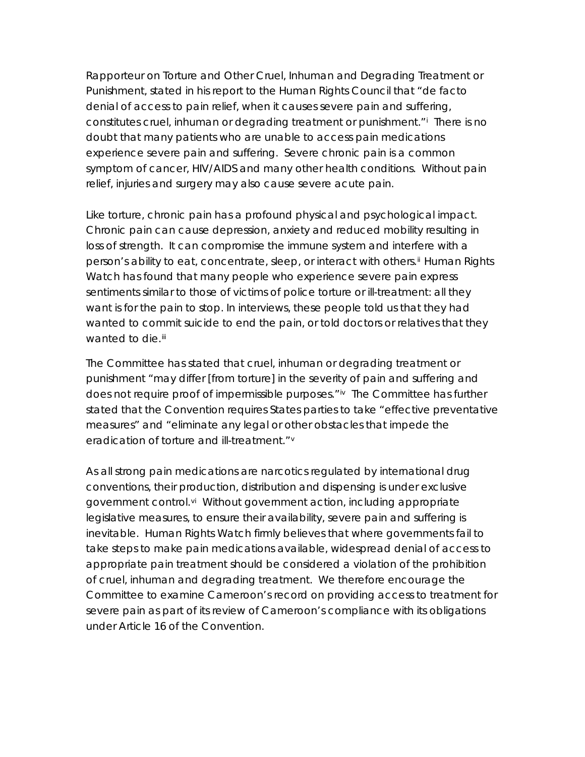Rapporteur on Torture and Other Cruel, Inhuman and Degrading Treatment or Punishment, stated in his report to the Human Rights Council that "de facto denial of access to pain relief, when it causes severe pain and suffering, constitutes cruel, inhuman or degrading treatment or punishment."[i](#page-10-0) There is no doubt that many patients who are unable to access pain medications experience severe pain and suffering. Severe chronic pain is a common symptom of cancer, HIV/AIDS and many other health conditions. Without pain relief, injuries and surgery may also cause severe acute pain.

Like torture, chronic pain has a profound physical and psychological impact. Chronic pain can cause depression, anxiety and reduced mobility resulting in loss of strength. It can compromise the immune system and interfere with a person's ability to eat, concentrate, sleep, or interact with others.<sup>[ii](#page-10-1)</sup> Human Rights Watch has found that many people who experience severe pain express sentiments similar to those of victims of police torture or ill-treatment: all they want is for the pain to stop. In interviews, these people told us that they had wanted to commit suicide to end the pain, or told doctors or relatives that they wanted to die.<sup>[iii](#page-10-1)</sup>

The Committee has stated that cruel, inhuman or degrading treatment or punishment "may differ [from torture] in the severity of pain and suffering and does not require proof of impermissible purposes."<sup>[iv](#page-10-1)</sup> The Committee has further stated that the Convention requires States parties to take "effective preventative measures" and "eliminate any legal or other obstacles that impede the eradication of torture and ill-treatment."[v](#page-10-1)

As all strong pain medications are narcotics regulated by international drug conventions, their production, distribution and dispensing is under exclusive government control.<sup>[vi](#page-10-1)</sup> Without government action, including appropriate legislative measures, to ensure their availability, severe pain and suffering is inevitable. Human Rights Watch firmly believes that where governments fail to take steps to make pain medications available, widespread denial of access to appropriate pain treatment should be considered a violation of the prohibition of cruel, inhuman and degrading treatment. We therefore encourage the Committee to examine Cameroon's record on providing access to treatment for severe pain as part of its review of Cameroon's compliance with its obligations under Article 16 of the Convention.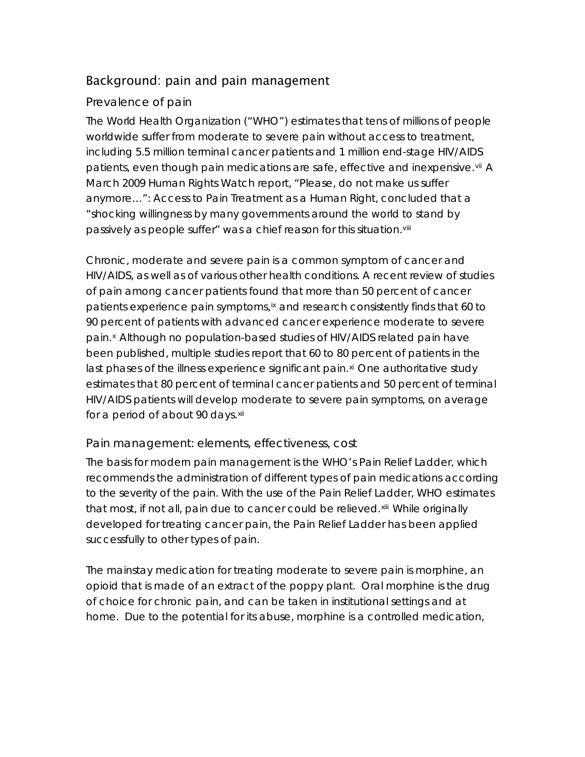### Background: pain and pain management

### Prevalence of pain

The World Health Organization ("WHO") estimates that tens of millions of people worldwide suffer from moderate to severe pain without access to treatment, including 5.5 million terminal cancer patients and 1 million end-stage HIV/AIDS patients, even though pain medications are safe, effective and inexpensive.[vii](#page-10-1) A March 2009 Human Rights Watch report, *"Please, do not make us suffer anymore…": Access to Pain Treatment as a Human Right*, concluded that a "shocking willingness by many governments around the world to stand by passively as people suffer" was a chief reason for this situation. Vili

Chronic, moderate and severe pain is a common symptom of cancer and HIV/AIDS, as well as of various other health conditions. A recent review of studies of pain among cancer patients found that more than 50 percent of cancer patients experience pain symptoms, [ix](#page-10-1) and research consistently finds that 60 to 90 percent of patients with advanced cancer experience moderate to severe pain.[x](#page-10-1) Although no population-based studies of HIV/AIDS related pain have been published, multiple studies report that 60 to 80 percent of patients in the last phases of the illness experience significant pain. $\mathbf{x}^i$  One authoritative study estimates that 80 percent of terminal cancer patients and 50 percent of terminal HIV/AIDS patients will develop moderate to severe pain symptoms, on average for a period of about 90 days.<sup>[xii](#page-10-1)</sup>

### Pain management: elements, effectiveness, cost

The basis for modern pain management is the WHO's Pain Relief Ladder, which recommends the administration of different types of pain medications according to the severity of the pain. With the use of the Pain Relief Ladder, WHO estimates that most, if not all, pain due to cancer could be relieved.<sup>[xiii](#page-10-1)</sup> While originally developed for treating cancer pain, the Pain Relief Ladder has been applied successfully to other types of pain.

The mainstay medication for treating moderate to severe pain is morphine, an opioid that is made of an extract of the poppy plant. Oral morphine is the drug of choice for chronic pain, and can be taken in institutional settings and at home. Due to the potential for its abuse, morphine is a controlled medication,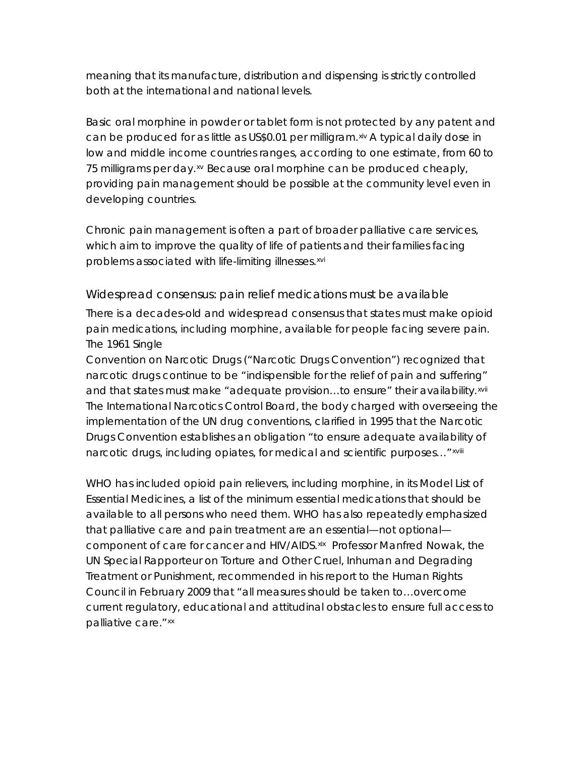meaning that its manufacture, distribution and dispensing is strictly controlled both at the international and national levels.

Basic oral morphine in powder or tablet form is not protected by any patent and can be produced for as little as US\$0.01 per milligram.  $x^{\text{iv}}$  A typical daily dose in low and middle income countries ranges, according to one estimate, from 60 to 75 milligrams per day.<sup>[xv](#page-10-1)</sup> Because oral morphine can be produced cheaply, providing pain management should be possible at the community level even in developing countries.

Chronic pain management is often a part of broader palliative care services, which aim to improve the quality of life of patients and their families facing problems associated with life-limiting illnesses.[xvi](#page-10-1)

Widespread consensus: pain relief medications must be available

There is a decades-old and widespread consensus that states must make opioid pain medications, including morphine, available for people facing severe pain. The 1961 Single

Convention on Narcotic Drugs ("Narcotic Drugs Convention") recognized that narcotic drugs continue to be "indispensible for the relief of pain and suffering" and that states must make "adequate provision...to ensure" their availability.[xvii](#page-10-1) The International Narcotics Control Board, the body charged with overseeing the implementation of the UN drug conventions, clarified in 1995 that the Narcotic Drugs Convention establishes an obligation "to ensure adequate availability of narcotic drugs, including opiates, for medical and scientific purposes..." [xviii](#page-10-1)

WHO has included opioid pain relievers, including morphine, in its Model List of Essential Medicines, a list of the minimum essential medications that should be available to all persons who need them. WHO has also repeatedly emphasized that palliative care and pain treatment are an essential—not optional component of care for cancer and HIV/AIDS. [xix](#page-10-1) Professor Manfred Nowak, the UN Special Rapporteur on Torture and Other Cruel, Inhuman and Degrading Treatment or Punishment, recommended in his report to the Human Rights Council in February 2009 that "all measures should be taken to…overcome current regulatory, educational and attitudinal obstacles to ensure full access to palliative care." [xx](#page-10-1)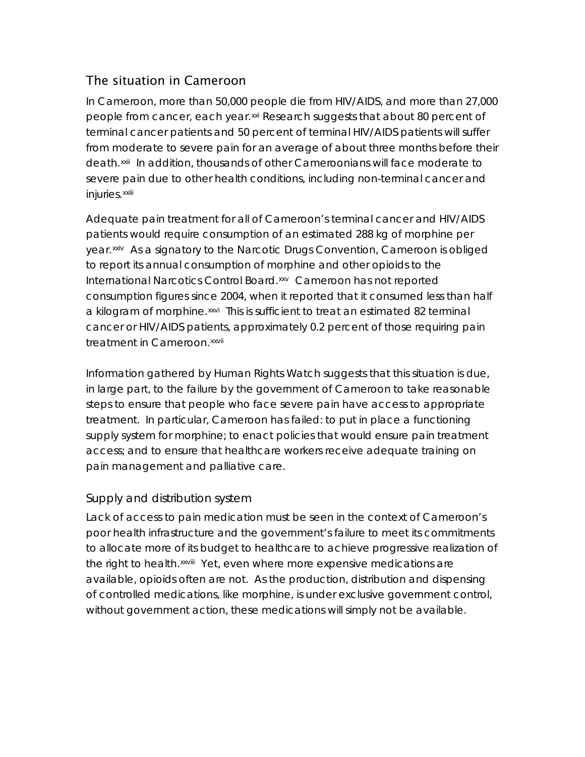### The situation in Cameroon

In Cameroon, more than 50,000 people die from HIV/AIDS, and more than 27,000 people from cancer, each year.[xxi](#page-10-1) Research suggests that about 80 percent of terminal cancer patients and 50 percent of terminal HIV/AIDS patients will suffer from moderate to severe pain for an average of about three months before their death.[xxii](#page-10-1) In addition, thousands of other Cameroonians will face moderate to severe pain due to other health conditions, including non-terminal cancer and injuries.[xxiii](#page-10-1)

Adequate pain treatment for all of Cameroon's terminal cancer and HIV/AIDS patients would require consumption of an estimated 288 kg of morphine per year.[xxiv](#page-10-1) As a signatory to the Narcotic Drugs Convention, Cameroon is obliged to report its annual consumption of morphine and other opioids to the International Narcotics Control Board.[xxv](#page-10-1) Cameroon has not reported consumption figures since 2004, when it reported that it consumed less than half a kilogram of morphine.<sup>[xxvi](#page-10-1)</sup> This is sufficient to treat an estimated 82 terminal cancer or HIV/AIDS patients, approximately 0.2 percent of those requiring pain treatment in Cameroon. [xxvii](#page-10-1)

Information gathered by Human Rights Watch suggests that this situation is due, in large part, to the failure by the government of Cameroon to take reasonable steps to ensure that people who face severe pain have access to appropriate treatment. In particular, Cameroon has failed: to put in place a functioning supply system for morphine; to enact policies that would ensure pain treatment access; and to ensure that healthcare workers receive adequate training on pain management and palliative care.

### Supply and distribution system

Lack of access to pain medication must be seen in the context of Cameroon's poor health infrastructure and the government's failure to meet its commitments to allocate more of its budget to healthcare to achieve progressive realization of the right to health.<sup>[xxviii](#page-10-1)</sup> Yet, even where more expensive medications are available, opioids often are not. As the production, distribution and dispensing of controlled medications, like morphine, is under exclusive government control, without government action, these medications will simply not be available.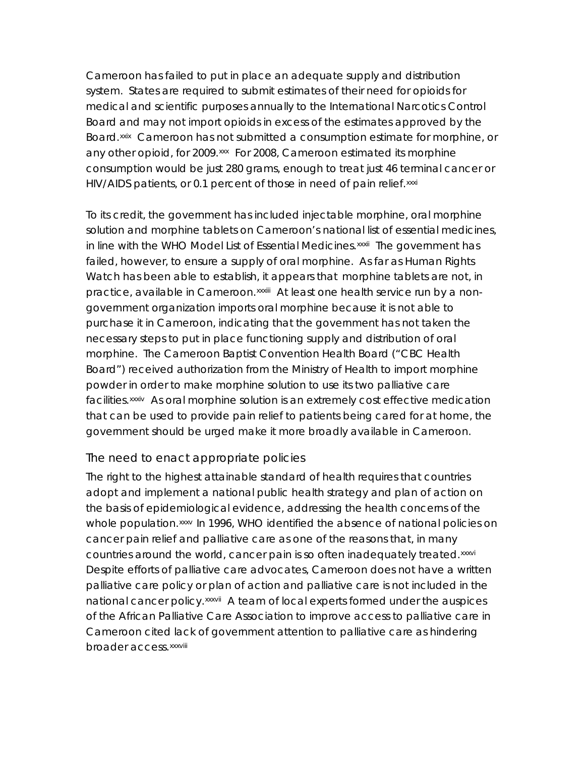Cameroon has failed to put in place an adequate supply and distribution system. States are required to submit estimates of their need for opioids for medical and scientific purposes annually to the International Narcotics Control Board and may not import opioids in excess of the estimates approved by the Board.[xxix](#page-10-1) Cameroon has not submitted a consumption estimate for morphine, or any other opioid, for 2009.<sup>[xxx](#page-10-1)</sup> For 2008, Cameroon estimated its morphine consumption would be just 280 grams, enough to treat just 46 terminal cancer or HIV/AIDS patients, or 0.1 percent of those in need of pain relief.[xxxi](#page-10-1)

To its credit, the government has included injectable morphine, oral morphine solution and morphine tablets on Cameroon's national list of essential medicines, in line with the WHO Model List of Essential Medicines.<sup>[xxxii](#page-10-1)</sup> The government has failed, however, to ensure a supply of oral morphine. As far as Human Rights Watch has been able to establish, it appears that morphine tablets are not, in practice, available in Cameroon. [xxxiii](#page-10-1) At least one health service run by a nongovernment organization imports oral morphine because it is not able to purchase it in Cameroon, indicating that the government has not taken the necessary steps to put in place functioning supply and distribution of oral morphine. The Cameroon Baptist Convention Health Board ("CBC Health Board") received authorization from the Ministry of Health to import morphine powder in order to make morphine solution to use its two palliative care facilities.[xxxiv](#page-10-1) As oral morphine solution is an extremely cost effective medication that can be used to provide pain relief to patients being cared for at home, the government should be urged make it more broadly available in Cameroon.

#### The need to enact appropriate policies

The right to the highest attainable standard of health requires that countries adopt and implement a national public health strategy and plan of action on the basis of epidemiological evidence, addressing the health concerns of the whole population.<sup>[xxxv](#page-10-1)</sup> In 1996, WHO identified the absence of national policies on cancer pain relief and palliative care as one of the reasons that, in many countries around the world, cancer pain is so often inadequately treated.[xxxvi](#page-10-1) Despite efforts of palliative care advocates, Cameroon does not have a written palliative care policy or plan of action and palliative care is not included in the national cancer policy.<sup>[xxxvii](#page-10-1)</sup> A team of local experts formed under the auspices of the African Palliative Care Association to improve access to palliative care in Cameroon cited lack of government attention to palliative care as hindering broader access. [xxxviii](#page-10-1)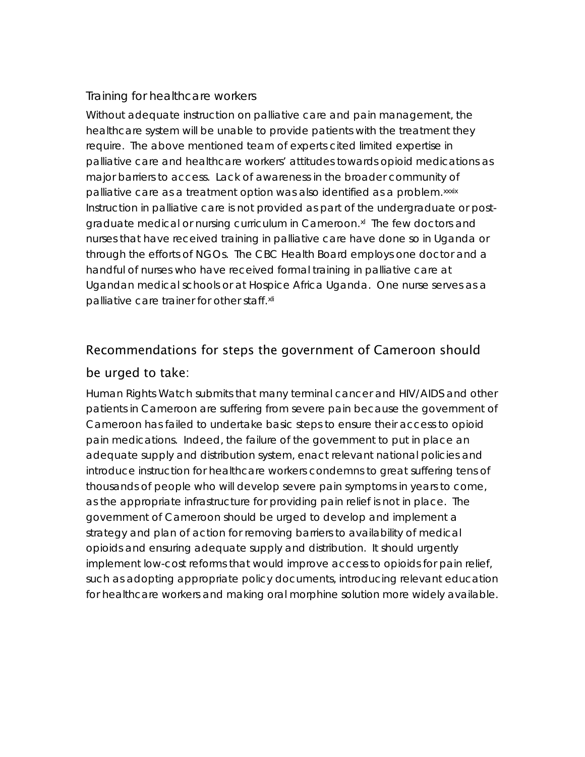### Training for healthcare workers

Without adequate instruction on palliative care and pain management, the healthcare system will be unable to provide patients with the treatment they require. The above mentioned team of experts cited limited expertise in palliative care and healthcare workers' attitudes towards opioid medications as major barriers to access. Lack of awareness in the broader community of palliative care as a treatment option was also identified as a problem.<sup>[xxxix](#page-10-1)</sup> Instruction in palliative care is not provided as part of the undergraduate or postgraduate medical or nursing curriculum in Cameroon.<sup>xl</sup> The few doctors and nurses that have received training in palliative care have done so in Uganda or through the efforts of NGOs. The CBC Health Board employs one doctor and a handful of nurses who have received formal training in palliative care at Ugandan medical schools or at Hospice Africa Uganda. One nurse serves as a palliative care trainer for other staff.[xli](#page-10-1)

# Recommendations for steps the government of Cameroon should

#### be urged to take:

Human Rights Watch submits that many terminal cancer and HIV/AIDS and other patients in Cameroon are suffering from severe pain because the government of Cameroon has failed to undertake basic steps to ensure their access to opioid pain medications. Indeed, the failure of the government to put in place an adequate supply and distribution system, enact relevant national policies and introduce instruction for healthcare workers condemns to great suffering tens of thousands of people who will develop severe pain symptoms in years to come, as the appropriate infrastructure for providing pain relief is not in place. The government of Cameroon should be urged to develop and implement a strategy and plan of action for removing barriers to availability of medical opioids and ensuring adequate supply and distribution. It should urgently implement low-cost reforms that would improve access to opioids for pain relief, such as adopting appropriate policy documents, introducing relevant education for healthcare workers and making oral morphine solution more widely available.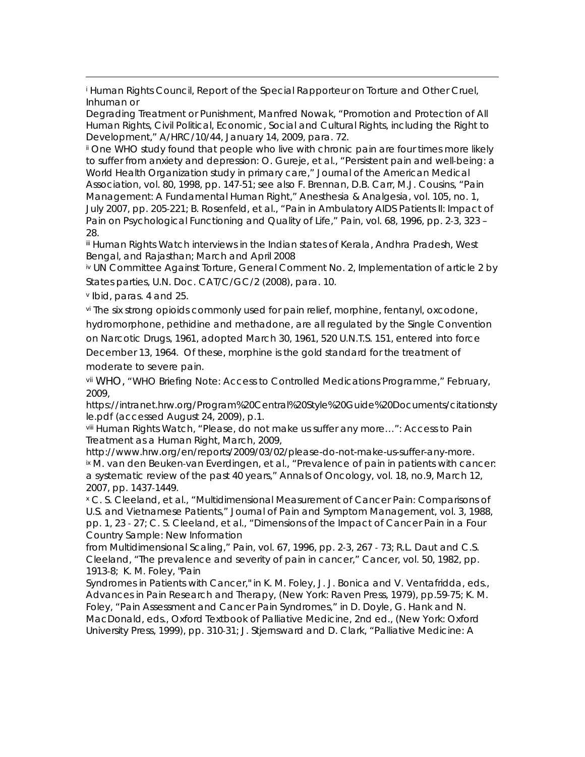i Human Rights Council, Report of the Special Rapporteur on Torture and Other Cruel, Inhuman or

Degrading Treatment or Punishment, Manfred Nowak, "Promotion and Protection of All Human Rights, Civil Political, Economic, Social and Cultural Rights, including the Right to Development," A/HRC/10/44, January 14, 2009, para. 72.

ii One WHO study found that people who live with chronic pain are four times more likely to suffer from anxiety and depression: O. Gureje, et al., "Persistent pain and well‐being: a World Health Organization study in primary care," *Journal of the American Medical Association,* vol. 80, 1998, pp. 147‐51; see also F. Brennan, D.B. Carr, M.J. Cousins, "Pain Management: A Fundamental Human Right," *Anesthesia & Analgesia*, vol. 105, no. 1, July 2007, pp. 205‐221; B. Rosenfeld, et al., "Pain in Ambulatory AIDS Patients II: Impact of Pain on Psychological Functioning and Quality of Life," *Pain,* vol. 68, 1996, pp. 2‐3, 323 – 28.

iii Human Rights Watch interviews in the Indian states of Kerala, Andhra Pradesh, West Bengal, and Rajasthan; March and April 2008

iv UN Committee Against Torture, General Comment No. 2, Implementation of article 2 by States parties, U.N. Doc. CAT/C/GC/2 (2008), para. 10.

v Ibid, paras. 4 and 25.

vi The six strong opioids commonly used for pain relief, morphine, fentanyl, oxcodone, hydromorphone, pethidine and methadone, are all regulated by the Single Convention on Narcotic Drugs, 1961, adopted March 30, 1961, 520 U.N.T.S. 151, entered into force December 13, 1964. Of these, morphine is the gold standard for the treatment of moderate to severe pain.

vii WHO, "WHO Briefing Note: Access to Controlled Medications Programme," February, 2009,

https://intranet.hrw.org/Program%20Central%20Style%20Guide%20Documents/citationsty le.pdf (accessed August 24, 2009), p.1.

viii Human Rights Watch, *"Please, do not make us suffer any more…": Access to Pain Treatment as a Human Right*, March, 2009,

http://www.hrw.org/en/reports/2009/03/02/please-do-not-make-us-suffer-any-more. ix M. van den Beuken-van Everdingen, et al., "Prevalence of pain in patients with cancer: a systematic review of the past 40 years," *Annals of Oncology*, vol. 18, no.9, March 12, 2007, pp. 1437‐1449.

x C. S. Cleeland, et al., "Multidimensional Measurement of Cancer Pain: Comparisons of U.S. and Vietnamese Patients," *Journal of Pain and Symptom Management,* vol. 3, 1988, pp. 1, 23 ‐ 27; C. S. Cleeland, et al., "Dimensions of the Impact of Cancer Pain in a Four Country Sample: New Information

from Multidimensional Scaling," *Pain*, vol. 67, 1996, pp. 2‐3, 267 ‐ 73; R.L. Daut and C.S. Cleeland, "The prevalence and severity of pain in cancer," *Cancer*, vol. 50, 1982, pp. 1913‐8; K. M. Foley, "Pain

Syndromes in Patients with Cancer," in K. M. Foley, J. J. Bonica and V. Ventafridda, eds., *Advances in Pain Research and Therapy,* (New York: Raven Press, 1979), pp.59‐75; K. M. Foley, "Pain Assessment and Cancer Pain Syndromes," in D. Doyle, G. Hank and N. MacDonald, eds., *Oxford Textbook of Palliative Medicine,* 2nd ed., (New York: Oxford University Press, 1999), pp. 310‐31; J. Stjernsward and D. Clark, "Palliative Medicine: A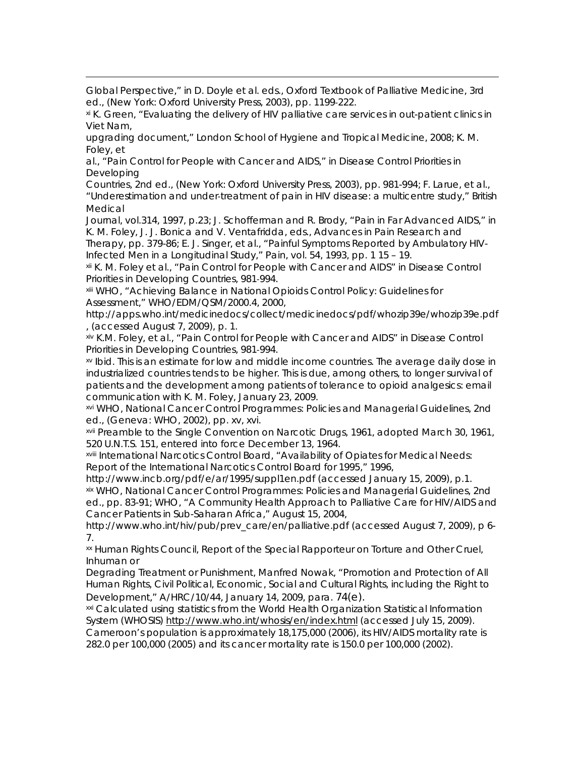Global Perspective," in D. Doyle et al. eds., *Oxford Textbook of Palliative Medicine*, 3rd ed., (New York: Oxford University Press, 2003), pp. 1199‐222.

xi K. Green, "Evaluating the delivery of HIV palliative care services in out-patient clinics in Viet Nam,

upgrading document," London School of Hygiene and Tropical Medicine, 2008; K. M. Foley, et

al., "Pain Control for People with Cancer and AIDS," in *Disease Control Priorities in Developing* 

*Countries*, 2nd ed., (New York: Oxford University Press, 2003), pp. 981-994; F. Larue, et al., "Underestimation and under‐treatment of pain in HIV disease: a multicentre study," *British Medical* 

*Journal*, vol.314, 1997, p.23; J. Schofferman and R. Brody, "Pain in Far Advanced AIDS," in K. M. Foley, J. J. Bonica and V. Ventafridda, eds., *Advances in Pain Research and* 

*Therapy*, pp. 379-86; E. J. Singer, et al., "Painful Symptoms Reported by Ambulatory HIV-Infected Men in a Longitudinal Study," *Pain*, vol. 54, 1993, pp. 1 15 – 19.

xii K. M. Foley et al., "Pain Control for People with Cancer and AIDS" in *Disease Control Priorities in Developing Countries*, 981‐994.

xiii WHO, "Achieving Balance in National Opioids Control Policy: Guidelines for Assessment," WHO/EDM/QSM/2000.4, 2000,

http://apps.who.int/medicinedocs/collect/medicinedocs/pdf/whozip39e/whozip39e.pdf , (accessed August 7, 2009), p. 1.

xiv K.M. Foley, et al., "Pain Control for People with Cancer and AIDS" in *Disease Control Priorities in Developing Countries*, 981‐994.

xv Ibid. This is an estimate for low and middle income countries. The average daily dose in industrialized countries tends to be higher. This is due, among others, to longer survival of patients and the development among patients of tolerance to opioid analgesics: email communication with K. M. Foley, January 23, 2009.

xvi WHO, *National Cancer Control Programmes: Policies and Managerial Guidelines*, 2nd ed., (Geneva: WHO, 2002), pp. xv, xvi.

xvii Preamble to the Single Convention on Narcotic Drugs, 1961, adopted March 30, 1961, 520 U.N.T.S. 151, entered into force December 13, 1964.

xviii International Narcotics Control Board, "Availability of Opiates for Medical Needs: Report of the International Narcotics Control Board for 1995," 1996,

http://www.incb.org/pdf/e/ar/1995/suppl1en.pdf (accessed January 15, 2009), p.1.

xix WHO, *National Cancer Control Programmes: Policies and Managerial Guidelines*, 2nd ed., pp. 83-91; WHO, "A Community Health Approach to Palliative Care for HIV/AIDS and Cancer Patients in Sub-Saharan Africa," August 15, 2004,

http://www.who.int/hiv/pub/prev\_care/en/palliative.pdf (accessed August 7, 2009), p 6- 7.

xx Human Rights Council, Report of the Special Rapporteur on Torture and Other Cruel, Inhuman or

Degrading Treatment or Punishment, Manfred Nowak, "Promotion and Protection of All Human Rights, Civil Political, Economic, Social and Cultural Rights, including the Right to Development," A/HRC/10/44, January 14, 2009, para. 74(e).

xxi Calculated using statistics from the World Health Organization Statistical Information System (WHOSIS) http://www.who.int/whosis/en/index.html (accessed July 15, 2009).

Cameroon's population is approximately 18,175,000 (2006), its HIV/AIDS mortality rate is 282.0 per 100,000 (2005) and its cancer mortality rate is 150.0 per 100,000 (2002).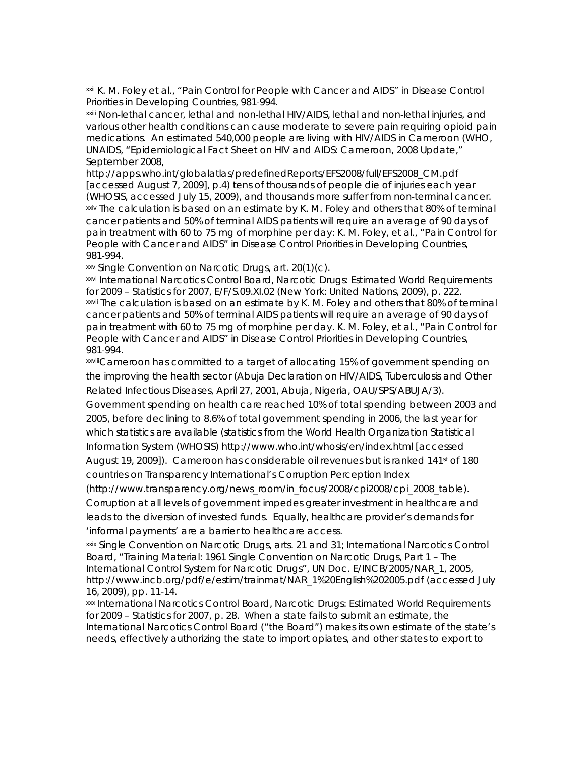xxii K. M. Foley et al., "Pain Control for People with Cancer and AIDS" in *Disease Control Priorities in Developing Countries*, 981‐994.

xxiii Non-lethal cancer, lethal and non-lethal HIV/AIDS, lethal and non-lethal injuries, and various other health conditions can cause moderate to severe pain requiring opioid pain medications. An estimated 540,000 people are living with HIV/AIDS in Cameroon (WHO, UNAIDS, "Epidemiological Fact Sheet on HIV and AIDS: Cameroon, 2008 Update," September 2008,

http://apps.who.int/globalatlas/predefinedReports/EFS2008/full/EFS2008\_CM.pdf [accessed August 7, 2009], p.4) tens of thousands of people die of injuries each year (WHOSIS, accessed July 15, 2009), and thousands more suffer from non‐terminal cancer. xxiv The calculation is based on an estimate by K. M. Foley and others that 80% of terminal cancer patients and 50% of terminal AIDS patients will require an average of 90 days of pain treatment with 60 to 75 mg of morphine per day: K. M. Foley, et al., "Pain Control for People with Cancer and AIDS" in *Disease Control Priorities in Developing Countries*, 981‐994.

xxv Single Convention on Narcotic Drugs, art. 20(1)(c).

xxvi International Narcotics Control Board, *Narcotic Drugs: Estimated World Requirements for 2009 – Statistics for 2007*, E/F/S.09.XI.02 (New York: United Nations, 2009), p. 222. xxvii The calculation is based on an estimate by K. M. Foley and others that 80% of terminal cancer patients and 50% of terminal AIDS patients will require an average of 90 days of pain treatment with 60 to 75 mg of morphine per day. K. M. Foley, et al., "Pain Control for People with Cancer and AIDS" in *Disease Control Priorities in Developing Countries*, 981‐994.

xxviiiCameroon has committed to a target of allocating 15% of government spending on the improving the health sector (*Abuja Declaration on HIV/AIDS, Tuberculosis and Other Related Infectious Diseases,* April 27, 2001, Abuja, Nigeria, OAU/SPS/ABUJA/3).

Government spending on health care reached 10% of total spending between 2003 and 2005, before declining to 8.6% of total government spending in 2006, the last year for which statistics are available (statistics from the World Health Organization Statistical Information System (WHOSIS) http://www.who.int/whosis/en/index.html [accessed August 19, 2009]). Cameroon has considerable oil revenues but is ranked 141st of 180 countries on Transparency International's Corruption Perception Index

(http://www.transparency.org/news\_room/in\_focus/2008/cpi2008/cpi\_2008\_table). Corruption at all levels of government impedes greater investment in healthcare and leads to the diversion of invested funds. Equally, healthcare provider's demands for 'informal payments' are a barrier to healthcare access.

xxix Single Convention on Narcotic Drugs, arts. 21 and 31; International Narcotics Control Board, "Training Material: 1961 Single Convention on Narcotic Drugs, Part 1 – The International Control System for Narcotic Drugs", UN Doc. E/INCB/2005/NAR\_1, 2005, http://www.incb.org/pdf/e/estim/trainmat/NAR\_1%20English%202005.pdf (accessed July 16, 2009), pp. 11-14.

xxx International Narcotics Control Board, *Narcotic Drugs: Estimated World Requirements for 2009 – Statistics for 2007*, p. 28. When a state fails to submit an estimate, the International Narcotics Control Board ("the Board") makes its own estimate of the state's needs, effectively authorizing the state to import opiates, and other states to export to